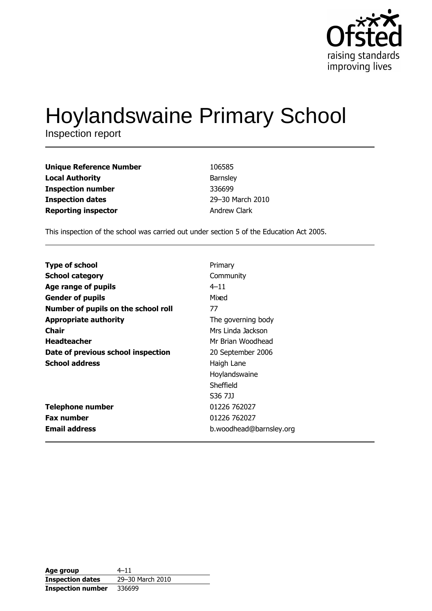

# **Hoylandswaine Primary School**

Inspection report

| <b>Unique Reference Number</b> | 106585           |
|--------------------------------|------------------|
| <b>Local Authority</b>         | Barnsley         |
| <b>Inspection number</b>       | 336699           |
| <b>Inspection dates</b>        | 29-30 March 2010 |
| <b>Reporting inspector</b>     | Andrew Clark     |

This inspection of the school was carried out under section 5 of the Education Act 2005.

| <b>Type of school</b>               | Primary                 |
|-------------------------------------|-------------------------|
|                                     |                         |
| <b>School category</b>              | Community               |
| Age range of pupils                 | $4 - 11$                |
| <b>Gender of pupils</b>             | Mixed                   |
| Number of pupils on the school roll | 77                      |
| <b>Appropriate authority</b>        | The governing body      |
| Chair                               | Mrs Linda Jackson       |
| <b>Headteacher</b>                  | Mr Brian Woodhead       |
| Date of previous school inspection  | 20 September 2006       |
| <b>School address</b>               | Haigh Lane              |
|                                     | Hoylandswaine           |
|                                     | Sheffield               |
|                                     | S36 7JJ                 |
| <b>Telephone number</b>             | 01226 762027            |
| <b>Fax number</b>                   | 01226 762027            |
| <b>Email address</b>                | b.woodhead@barnsley.org |

| Age group                | $4 - 11$         |
|--------------------------|------------------|
| <b>Inspection dates</b>  | 29-30 March 2010 |
| <b>Inspection number</b> | 336699           |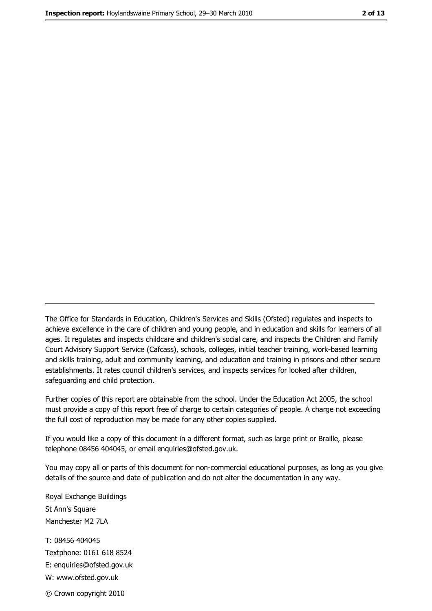The Office for Standards in Education, Children's Services and Skills (Ofsted) regulates and inspects to achieve excellence in the care of children and young people, and in education and skills for learners of all ages. It regulates and inspects childcare and children's social care, and inspects the Children and Family Court Advisory Support Service (Cafcass), schools, colleges, initial teacher training, work-based learning and skills training, adult and community learning, and education and training in prisons and other secure establishments. It rates council children's services, and inspects services for looked after children, safequarding and child protection.

Further copies of this report are obtainable from the school. Under the Education Act 2005, the school must provide a copy of this report free of charge to certain categories of people. A charge not exceeding the full cost of reproduction may be made for any other copies supplied.

If you would like a copy of this document in a different format, such as large print or Braille, please telephone 08456 404045, or email enquiries@ofsted.gov.uk.

You may copy all or parts of this document for non-commercial educational purposes, as long as you give details of the source and date of publication and do not alter the documentation in any way.

Royal Exchange Buildings St Ann's Square Manchester M2 7LA T: 08456 404045 Textphone: 0161 618 8524 E: enquiries@ofsted.gov.uk W: www.ofsted.gov.uk © Crown copyright 2010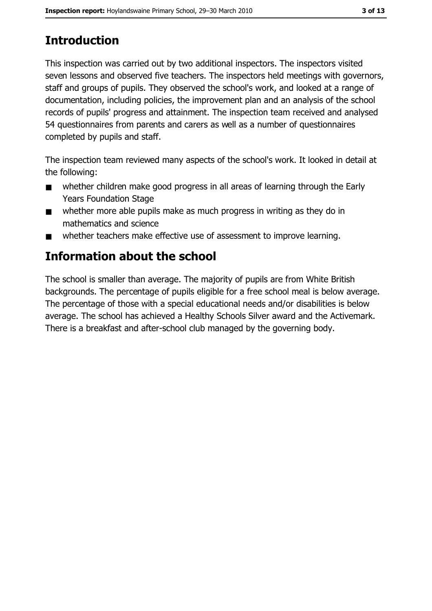# **Introduction**

This inspection was carried out by two additional inspectors. The inspectors visited seven lessons and observed five teachers. The inspectors held meetings with governors, staff and groups of pupils. They observed the school's work, and looked at a range of documentation, including policies, the improvement plan and an analysis of the school records of pupils' progress and attainment. The inspection team received and analysed 54 questionnaires from parents and carers as well as a number of questionnaires completed by pupils and staff.

The inspection team reviewed many aspects of the school's work. It looked in detail at the following:

- whether children make good progress in all areas of learning through the Early  $\blacksquare$ **Years Foundation Stage**
- whether more able pupils make as much progress in writing as they do in  $\blacksquare$ mathematics and science
- whether teachers make effective use of assessment to improve learning.  $\blacksquare$

# **Information about the school**

The school is smaller than average. The majority of pupils are from White British backgrounds. The percentage of pupils eligible for a free school meal is below average. The percentage of those with a special educational needs and/or disabilities is below average. The school has achieved a Healthy Schools Silver award and the Activemark. There is a breakfast and after-school club managed by the governing body.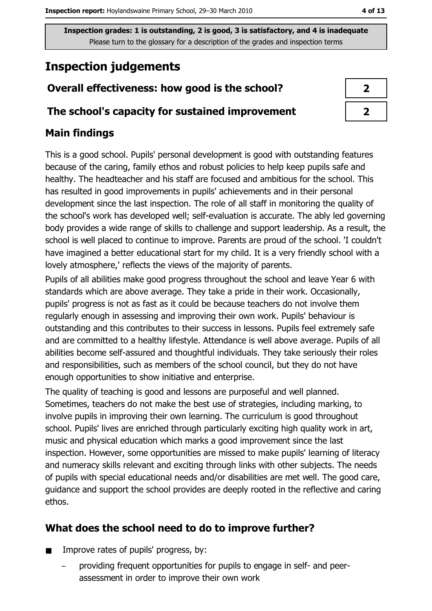# **Inspection judgements**

## Overall effectiveness: how good is the school?

#### The school's capacity for sustained improvement

## **Main findings**

This is a good school. Pupils' personal development is good with outstanding features because of the caring, family ethos and robust policies to help keep pupils safe and healthy. The headteacher and his staff are focused and ambitious for the school. This has resulted in good improvements in pupils' achievements and in their personal development since the last inspection. The role of all staff in monitoring the quality of the school's work has developed well; self-evaluation is accurate. The ably led governing body provides a wide range of skills to challenge and support leadership. As a result, the school is well placed to continue to improve. Parents are proud of the school. 'I couldn't have imagined a better educational start for my child. It is a very friendly school with a lovely atmosphere,' reflects the views of the majority of parents.

Pupils of all abilities make good progress throughout the school and leave Year 6 with standards which are above average. They take a pride in their work. Occasionally, pupils' progress is not as fast as it could be because teachers do not involve them regularly enough in assessing and improving their own work. Pupils' behaviour is outstanding and this contributes to their success in lessons. Pupils feel extremely safe and are committed to a healthy lifestyle. Attendance is well above average. Pupils of all abilities become self-assured and thoughtful individuals. They take seriously their roles and responsibilities, such as members of the school council, but they do not have enough opportunities to show initiative and enterprise.

The quality of teaching is good and lessons are purposeful and well planned. Sometimes, teachers do not make the best use of strategies, including marking, to involve pupils in improving their own learning. The curriculum is good throughout school. Pupils' lives are enriched through particularly exciting high quality work in art, music and physical education which marks a good improvement since the last inspection. However, some opportunities are missed to make pupils' learning of literacy and numeracy skills relevant and exciting through links with other subjects. The needs of pupils with special educational needs and/or disabilities are met well. The good care, quidance and support the school provides are deeply rooted in the reflective and caring ethos.

## What does the school need to do to improve further?

- Improve rates of pupils' progress, by:  $\blacksquare$ 
	- providing frequent opportunities for pupils to engage in self- and peerassessment in order to improve their own work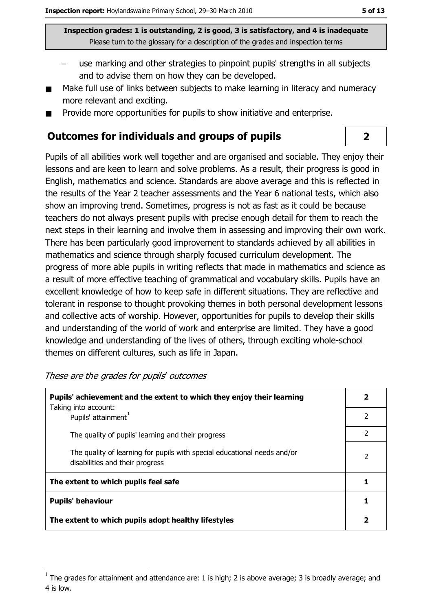- use marking and other strategies to pinpoint pupils' strengths in all subjects and to advise them on how they can be developed.
- Make full use of links between subjects to make learning in literacy and numeracy more relevant and exciting.
- Provide more opportunities for pupils to show initiative and enterprise.  $\blacksquare$

#### **Outcomes for individuals and groups of pupils**

Pupils of all abilities work well together and are organised and sociable. They enjoy their lessons and are keen to learn and solve problems. As a result, their progress is good in English, mathematics and science. Standards are above average and this is reflected in the results of the Year 2 teacher assessments and the Year 6 national tests, which also show an improving trend. Sometimes, progress is not as fast as it could be because teachers do not always present pupils with precise enough detail for them to reach the next steps in their learning and involve them in assessing and improving their own work. There has been particularly good improvement to standards achieved by all abilities in mathematics and science through sharply focused curriculum development. The progress of more able pupils in writing reflects that made in mathematics and science as a result of more effective teaching of grammatical and vocabulary skills. Pupils have an excellent knowledge of how to keep safe in different situations. They are reflective and tolerant in response to thought provoking themes in both personal development lessons and collective acts of worship. However, opportunities for pupils to develop their skills and understanding of the world of work and enterprise are limited. They have a good knowledge and understanding of the lives of others, through exciting whole-school themes on different cultures, such as life in Japan.

| Pupils' achievement and the extent to which they enjoy their learning                                       |   |
|-------------------------------------------------------------------------------------------------------------|---|
| Taking into account:<br>Pupils' attainment <sup>1</sup>                                                     | 2 |
| The quality of pupils' learning and their progress                                                          | 2 |
| The quality of learning for pupils with special educational needs and/or<br>disabilities and their progress | 2 |
| The extent to which pupils feel safe                                                                        |   |
| <b>Pupils' behaviour</b>                                                                                    |   |
| The extent to which pupils adopt healthy lifestyles                                                         |   |

These are the grades for pupils' outcomes

 $\overline{2}$ 

The grades for attainment and attendance are: 1 is high; 2 is above average; 3 is broadly average; and 4 is low.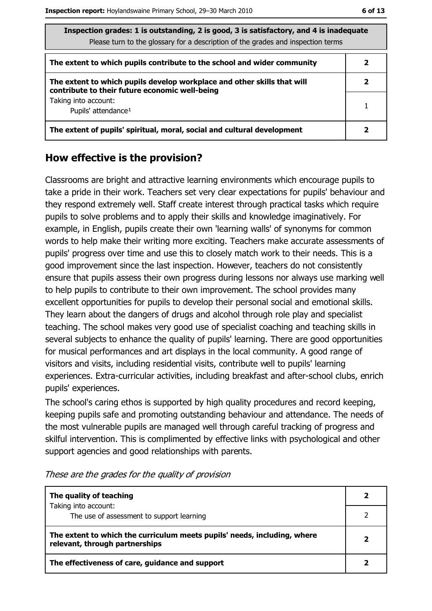| Inspection grades: 1 is outstanding, 2 is good, 3 is satisfactory, and 4 is inadequate<br>Please turn to the glossary for a description of the grades and inspection terms |   |
|----------------------------------------------------------------------------------------------------------------------------------------------------------------------------|---|
| The extent to which pupils contribute to the school and wider community                                                                                                    |   |
| The extent to which pupils develop workplace and other skills that will<br>contribute to their future economic well-being                                                  | 2 |
| Taking into account:<br>Pupils' attendance <sup>1</sup>                                                                                                                    |   |
| The extent of pupils' spiritual, moral, social and cultural development                                                                                                    |   |

### How effective is the provision?

Classrooms are bright and attractive learning environments which encourage pupils to take a pride in their work. Teachers set very clear expectations for pupils' behaviour and they respond extremely well. Staff create interest through practical tasks which require pupils to solve problems and to apply their skills and knowledge imaginatively. For example, in English, pupils create their own 'learning walls' of synonyms for common words to help make their writing more exciting. Teachers make accurate assessments of pupils' progress over time and use this to closely match work to their needs. This is a good improvement since the last inspection. However, teachers do not consistently ensure that pupils assess their own progress during lessons nor always use marking well to help pupils to contribute to their own improvement. The school provides many excellent opportunities for pupils to develop their personal social and emotional skills. They learn about the dangers of drugs and alcohol through role play and specialist teaching. The school makes very good use of specialist coaching and teaching skills in several subjects to enhance the quality of pupils' learning. There are good opportunities for musical performances and art displays in the local community. A good range of visitors and visits, including residential visits, contribute well to pupils' learning experiences. Extra-curricular activities, including breakfast and after-school clubs, enrich pupils' experiences.

The school's caring ethos is supported by high quality procedures and record keeping, keeping pupils safe and promoting outstanding behaviour and attendance. The needs of the most vulnerable pupils are managed well through careful tracking of progress and skilful intervention. This is complimented by effective links with psychological and other support agencies and good relationships with parents.

| The quality of teaching                                                                                    |  |
|------------------------------------------------------------------------------------------------------------|--|
| Taking into account:<br>The use of assessment to support learning                                          |  |
| The extent to which the curriculum meets pupils' needs, including, where<br>relevant, through partnerships |  |
| The effectiveness of care, guidance and support                                                            |  |

These are the grades for the quality of provision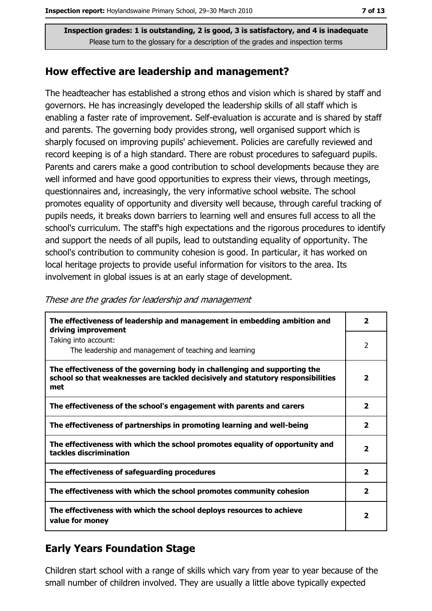#### How effective are leadership and management?

The headteacher has established a strong ethos and vision which is shared by staff and governors. He has increasingly developed the leadership skills of all staff which is enabling a faster rate of improvement. Self-evaluation is accurate and is shared by staff and parents. The governing body provides strong, well organised support which is sharply focused on improving pupils' achievement. Policies are carefully reviewed and record keeping is of a high standard. There are robust procedures to safeguard pupils. Parents and carers make a good contribution to school developments because they are well informed and have good opportunities to express their views, through meetings, questionnaires and, increasingly, the very informative school website. The school promotes equality of opportunity and diversity well because, through careful tracking of pupils needs, it breaks down barriers to learning well and ensures full access to all the school's curriculum. The staff's high expectations and the rigorous procedures to identify and support the needs of all pupils, lead to outstanding equality of opportunity. The school's contribution to community cohesion is good. In particular, it has worked on local heritage projects to provide useful information for visitors to the area. Its involvement in global issues is at an early stage of development.

| The effectiveness of leadership and management in embedding ambition and<br>driving improvement                                                                     | 2                       |
|---------------------------------------------------------------------------------------------------------------------------------------------------------------------|-------------------------|
| Taking into account:<br>The leadership and management of teaching and learning                                                                                      | 2                       |
| The effectiveness of the governing body in challenging and supporting the<br>school so that weaknesses are tackled decisively and statutory responsibilities<br>met | $\overline{2}$          |
| The effectiveness of the school's engagement with parents and carers                                                                                                | $\overline{\mathbf{2}}$ |
| The effectiveness of partnerships in promoting learning and well-being                                                                                              | $\mathbf{z}$            |
| The effectiveness with which the school promotes equality of opportunity and<br>tackles discrimination                                                              | 2                       |
| The effectiveness of safeguarding procedures                                                                                                                        | $\overline{2}$          |
| The effectiveness with which the school promotes community cohesion                                                                                                 | $\overline{\mathbf{2}}$ |
| The effectiveness with which the school deploys resources to achieve<br>value for money                                                                             | $\overline{\mathbf{2}}$ |

These are the grades for leadership and management

## **Early Years Foundation Stage**

Children start school with a range of skills which vary from year to year because of the small number of children involved. They are usually a little above typically expected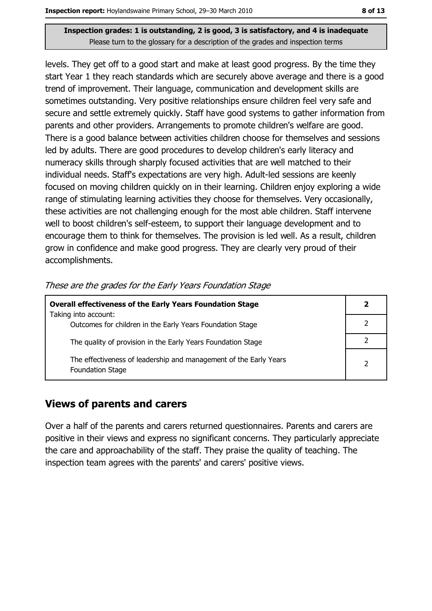levels. They get off to a good start and make at least good progress. By the time they start Year 1 they reach standards which are securely above average and there is a good trend of improvement. Their language, communication and development skills are sometimes outstanding. Very positive relationships ensure children feel very safe and secure and settle extremely quickly. Staff have good systems to gather information from parents and other providers. Arrangements to promote children's welfare are good. There is a good balance between activities children choose for themselves and sessions led by adults. There are good procedures to develop children's early literacy and numeracy skills through sharply focused activities that are well matched to their individual needs. Staff's expectations are very high. Adult-led sessions are keenly focused on moving children guickly on in their learning. Children enjoy exploring a wide range of stimulating learning activities they choose for themselves. Very occasionally, these activities are not challenging enough for the most able children. Staff intervene well to boost children's self-esteem, to support their language development and to encourage them to think for themselves. The provision is led well. As a result, children grow in confidence and make good progress. They are clearly very proud of their accomplishments.

|  |  |  | These are the grades for the Early Years Foundation Stage |
|--|--|--|-----------------------------------------------------------|
|  |  |  |                                                           |

| <b>Overall effectiveness of the Early Years Foundation Stage</b>                             | 2 |
|----------------------------------------------------------------------------------------------|---|
| Taking into account:                                                                         |   |
| Outcomes for children in the Early Years Foundation Stage                                    |   |
| The quality of provision in the Early Years Foundation Stage                                 |   |
| The effectiveness of leadership and management of the Early Years<br><b>Foundation Stage</b> |   |

#### **Views of parents and carers**

Over a half of the parents and carers returned questionnaires. Parents and carers are positive in their views and express no significant concerns. They particularly appreciate the care and approachability of the staff. They praise the quality of teaching. The inspection team agrees with the parents' and carers' positive views.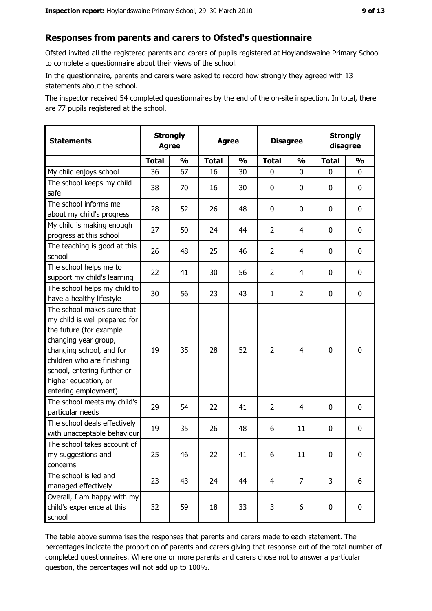## Responses from parents and carers to Ofsted's questionnaire

Ofsted invited all the registered parents and carers of pupils registered at Hovlandswaine Primary School to complete a questionnaire about their views of the school.

In the questionnaire, parents and carers were asked to record how strongly they agreed with 13 statements about the school.

The inspector received 54 completed questionnaires by the end of the on-site inspection. In total, there are 77 pupils registered at the school.

| <b>Statements</b>                                                                                                                                                                                                                                       | <b>Strongly</b><br><b>Agree</b> |               | <b>Agree</b> |               | <b>Disagree</b> |                | <b>Strongly</b><br>disagree |               |
|---------------------------------------------------------------------------------------------------------------------------------------------------------------------------------------------------------------------------------------------------------|---------------------------------|---------------|--------------|---------------|-----------------|----------------|-----------------------------|---------------|
|                                                                                                                                                                                                                                                         | <b>Total</b>                    | $\frac{1}{2}$ | <b>Total</b> | $\frac{1}{2}$ | <b>Total</b>    | $\frac{0}{0}$  | <b>Total</b>                | $\frac{1}{2}$ |
| My child enjoys school                                                                                                                                                                                                                                  | 36                              | 67            | 16           | 30            | 0               | 0              | 0                           | 0             |
| The school keeps my child<br>safe                                                                                                                                                                                                                       | 38                              | 70            | 16           | 30            | $\mathbf 0$     | 0              | 0                           | $\mathbf 0$   |
| The school informs me<br>about my child's progress                                                                                                                                                                                                      | 28                              | 52            | 26           | 48            | 0               | 0              | 0                           | $\mathbf 0$   |
| My child is making enough<br>progress at this school                                                                                                                                                                                                    | 27                              | 50            | 24           | 44            | $\overline{2}$  | 4              | 0                           | 0             |
| The teaching is good at this<br>school                                                                                                                                                                                                                  | 26                              | 48            | 25           | 46            | $\overline{2}$  | 4              | 0                           | 0             |
| The school helps me to<br>support my child's learning                                                                                                                                                                                                   | 22                              | 41            | 30           | 56            | $\overline{2}$  | 4              | 0                           | $\bf{0}$      |
| The school helps my child to<br>have a healthy lifestyle                                                                                                                                                                                                | 30                              | 56            | 23           | 43            | $\mathbf{1}$    | $\overline{2}$ | 0                           | 0             |
| The school makes sure that<br>my child is well prepared for<br>the future (for example<br>changing year group,<br>changing school, and for<br>children who are finishing<br>school, entering further or<br>higher education, or<br>entering employment) | 19                              | 35            | 28           | 52            | $\overline{2}$  | 4              | 0                           | $\bf{0}$      |
| The school meets my child's<br>particular needs                                                                                                                                                                                                         | 29                              | 54            | 22           | 41            | $\overline{2}$  | 4              | $\Omega$                    | 0             |
| The school deals effectively<br>with unacceptable behaviour                                                                                                                                                                                             | 19                              | 35            | 26           | 48            | 6               | 11             | 0                           | 0             |
| The school takes account of<br>my suggestions and<br>concerns                                                                                                                                                                                           | 25                              | 46            | 22           | 41            | 6               | 11             | 0                           | $\bf{0}$      |
| The school is led and<br>managed effectively                                                                                                                                                                                                            | 23                              | 43            | 24           | 44            | $\overline{4}$  | $\overline{7}$ | 3                           | 6             |
| Overall, I am happy with my<br>child's experience at this<br>school                                                                                                                                                                                     | 32                              | 59            | 18           | 33            | 3               | 6              | 0                           | 0             |

The table above summarises the responses that parents and carers made to each statement. The percentages indicate the proportion of parents and carers giving that response out of the total number of completed questionnaires. Where one or more parents and carers chose not to answer a particular question, the percentages will not add up to 100%.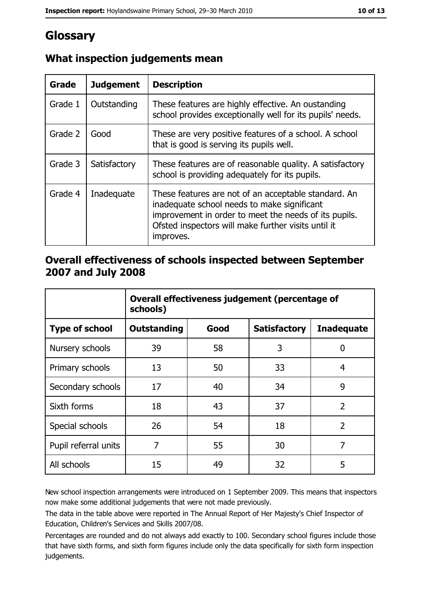# Glossary

| Grade   | <b>Judgement</b> | <b>Description</b>                                                                                                                                                                                                               |
|---------|------------------|----------------------------------------------------------------------------------------------------------------------------------------------------------------------------------------------------------------------------------|
| Grade 1 | Outstanding      | These features are highly effective. An oustanding<br>school provides exceptionally well for its pupils' needs.                                                                                                                  |
| Grade 2 | Good             | These are very positive features of a school. A school<br>that is good is serving its pupils well.                                                                                                                               |
| Grade 3 | Satisfactory     | These features are of reasonable quality. A satisfactory<br>school is providing adequately for its pupils.                                                                                                                       |
| Grade 4 | Inadequate       | These features are not of an acceptable standard. An<br>inadequate school needs to make significant<br>improvement in order to meet the needs of its pupils.<br>Ofsted inspectors will make further visits until it<br>improves. |

# What inspection judgements mean

## Overall effectiveness of schools inspected between September 2007 and July 2008

|                       | Overall effectiveness judgement (percentage of<br>schools) |      |                     |                   |
|-----------------------|------------------------------------------------------------|------|---------------------|-------------------|
| <b>Type of school</b> | <b>Outstanding</b>                                         | Good | <b>Satisfactory</b> | <b>Inadequate</b> |
| Nursery schools       | 39                                                         | 58   | 3                   | 0                 |
| Primary schools       | 13                                                         | 50   | 33                  | 4                 |
| Secondary schools     | 17                                                         | 40   | 34                  | 9                 |
| Sixth forms           | 18                                                         | 43   | 37                  | $\overline{2}$    |
| Special schools       | 26                                                         | 54   | 18                  | $\overline{2}$    |
| Pupil referral units  | 7                                                          | 55   | 30                  | $\overline{7}$    |
| All schools           | 15                                                         | 49   | 32                  | 5                 |

New school inspection arrangements were introduced on 1 September 2009. This means that inspectors now make some additional judgements that were not made previously.

The data in the table above were reported in The Annual Report of Her Majesty's Chief Inspector of Education, Children's Services and Skills 2007/08.

Percentages are rounded and do not always add exactly to 100. Secondary school figures include those that have sixth forms, and sixth form figures include only the data specifically for sixth form inspection judgements.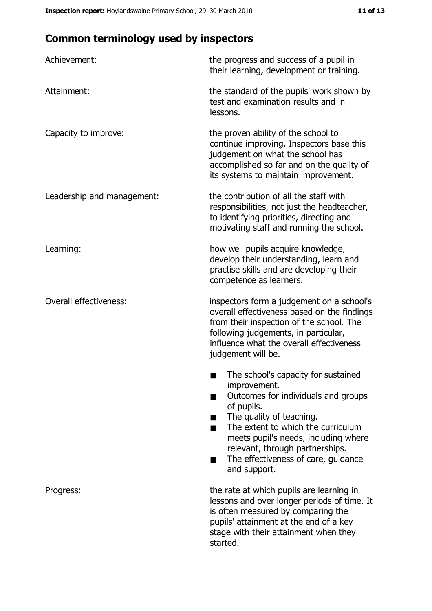# **Common terminology used by inspectors**

| Achievement:                  | the progress and success of a pupil in<br>their learning, development or training.                                                                                                                                                                                                                           |  |
|-------------------------------|--------------------------------------------------------------------------------------------------------------------------------------------------------------------------------------------------------------------------------------------------------------------------------------------------------------|--|
| Attainment:                   | the standard of the pupils' work shown by<br>test and examination results and in<br>lessons.                                                                                                                                                                                                                 |  |
| Capacity to improve:          | the proven ability of the school to<br>continue improving. Inspectors base this<br>judgement on what the school has<br>accomplished so far and on the quality of<br>its systems to maintain improvement.                                                                                                     |  |
| Leadership and management:    | the contribution of all the staff with<br>responsibilities, not just the headteacher,<br>to identifying priorities, directing and<br>motivating staff and running the school.                                                                                                                                |  |
| Learning:                     | how well pupils acquire knowledge,<br>develop their understanding, learn and<br>practise skills and are developing their<br>competence as learners.                                                                                                                                                          |  |
| <b>Overall effectiveness:</b> | inspectors form a judgement on a school's<br>overall effectiveness based on the findings<br>from their inspection of the school. The<br>following judgements, in particular,<br>influence what the overall effectiveness<br>judgement will be.                                                               |  |
|                               | The school's capacity for sustained<br>improvement.<br>Outcomes for individuals and groups<br>of pupils.<br>The quality of teaching.<br>The extent to which the curriculum<br>meets pupil's needs, including where<br>relevant, through partnerships.<br>The effectiveness of care, guidance<br>and support. |  |
| Progress:                     | the rate at which pupils are learning in<br>lessons and over longer periods of time. It<br>is often measured by comparing the<br>pupils' attainment at the end of a key<br>stage with their attainment when they<br>started.                                                                                 |  |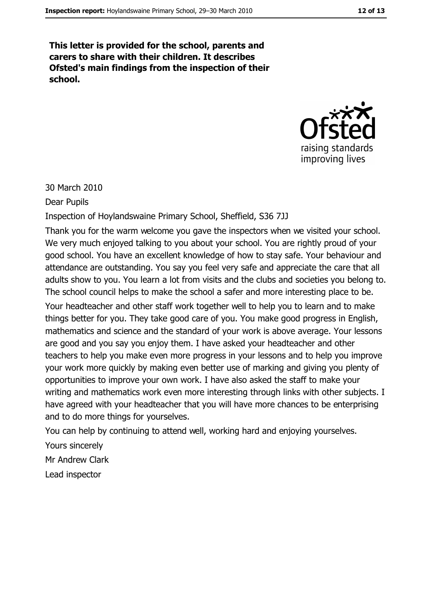This letter is provided for the school, parents and carers to share with their children. It describes Ofsted's main findings from the inspection of their school.



30 March 2010

**Dear Pupils** 

Inspection of Hoylandswaine Primary School, Sheffield, S36 7JJ

Thank you for the warm welcome you gave the inspectors when we visited your school. We very much enjoyed talking to you about your school. You are rightly proud of your good school. You have an excellent knowledge of how to stay safe. Your behaviour and attendance are outstanding. You say you feel very safe and appreciate the care that all adults show to you. You learn a lot from visits and the clubs and societies you belong to. The school council helps to make the school a safer and more interesting place to be.

Your headteacher and other staff work together well to help you to learn and to make things better for you. They take good care of you. You make good progress in English, mathematics and science and the standard of your work is above average. Your lessons are good and you say you enjoy them. I have asked your headteacher and other teachers to help you make even more progress in your lessons and to help you improve your work more quickly by making even better use of marking and giving you plenty of opportunities to improve your own work. I have also asked the staff to make your writing and mathematics work even more interesting through links with other subjects. I have agreed with your headteacher that you will have more chances to be enterprising and to do more things for yourselves.

You can help by continuing to attend well, working hard and enjoying yourselves.

Yours sincerely

Mr Andrew Clark

Lead inspector